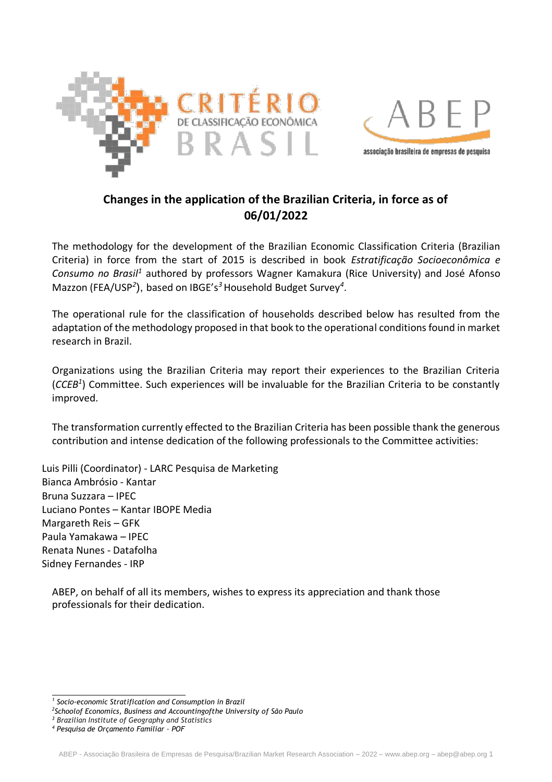



# **Changes in the application of the Brazilian Criteria, in force as of 06/01/2022**

The methodology for the development of the Brazilian Economic Classification Criteria (Brazilian Criteria) in force from the start of 2015 is described in book *Estratificação Socioeconômica e Consumo no Brasil<sup>1</sup>* authored by professors Wagner Kamakura (Rice University) and José Afonso Mazzon (FEA/USP*<sup>2</sup>* ), based on IBGE's*<sup>3</sup>*Household Budget Survey*<sup>4</sup>* .

The operational rule for the classification of households described below has resulted from the adaptation of the methodology proposed in that book to the operational conditions found in market research in Brazil.

Organizations using the Brazilian Criteria may report their experiences to the Brazilian Criteria (*CCEB<sup>1</sup>* ) Committee. Such experiences will be invaluable for the Brazilian Criteria to be constantly improved.

The transformation currently effected to the Brazilian Criteria has been possible thank the generous contribution and intense dedication of the following professionals to the Committee activities:

Luis Pilli (Coordinator) - LARC Pesquisa de Marketing Bianca Ambrósio - Kantar Bruna Suzzara – IPEC Luciano Pontes – Kantar IBOPE Media Margareth Reis – GFK Paula Yamakawa – IPEC Renata Nunes - Datafolha Sidney Fernandes - IRP

ABEP, on behalf of all its members, wishes to express its appreciation and thank those professionals for their dedication.

*<sup>1</sup> Socio-economic Stratification and Consumption in Brazil*

*<sup>2</sup> Schoolof Economics, Business and Accountingofthe University of São Paulo*

*<sup>3</sup> Brazilian Institute of Geography and Statistics*

*<sup>4</sup> Pesquisa de Orçamento Familiar – POF*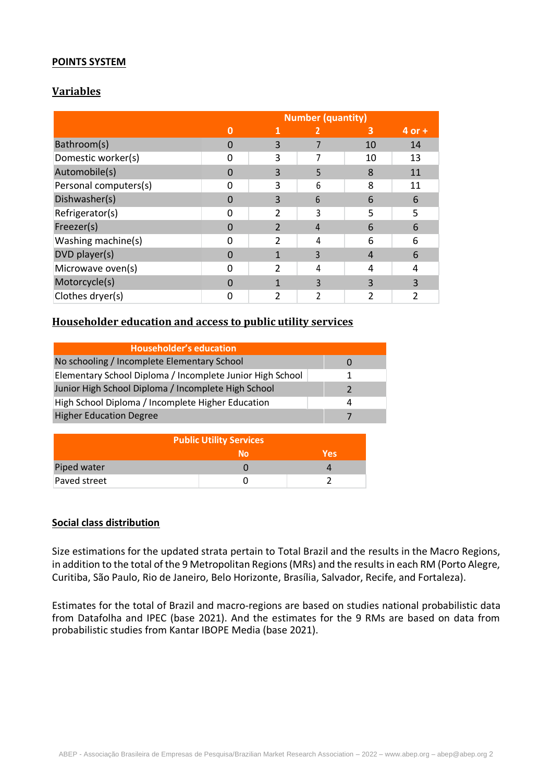## **POINTS SYSTEM**

## **Variables**

|                       | <b>Number (quantity)</b> |                |   |    |            |  |  |
|-----------------------|--------------------------|----------------|---|----|------------|--|--|
|                       |                          | 1              | 2 | 3  | $4$ or $+$ |  |  |
| Bathroom(s)           | 0                        | 3              |   | 10 | 14         |  |  |
| Domestic worker(s)    | n                        | 3              |   | 10 | 13         |  |  |
| Automobile(s)         |                          | 3              | 5 | 8  | 11         |  |  |
| Personal computers(s) |                          | 3              | 6 | 8  | 11         |  |  |
| Dishwasher(s)         | 0                        | 3              | 6 | 6  | 6          |  |  |
| Refrigerator(s)       | ŋ                        |                | 3 | 5  | 5          |  |  |
| Freezer(s)            |                          | $\overline{2}$ | 4 | 6  | 6          |  |  |
| Washing machine(s)    | ი                        | $\mathfrak{p}$ | 4 | 6  | 6          |  |  |
| DVD player(s)         | 0                        |                | 3 | 4  | 6          |  |  |
| Microwave oven(s)     | n                        | 2              | 4 | 4  | 4          |  |  |
| Motorcycle(s)         | n                        |                | 3 | 3  | 3          |  |  |
| Clothes dryer(s)      |                          | າ              |   | ว  | 2          |  |  |

## **Householder education and access to public utility services**

| <b>Householder's education</b>                            |  |
|-----------------------------------------------------------|--|
| No schooling / Incomplete Elementary School               |  |
| Elementary School Diploma / Incomplete Junior High School |  |
| Junior High School Diploma / Incomplete High School       |  |
| High School Diploma / Incomplete Higher Education         |  |
| <b>Higher Education Degree</b>                            |  |

| <b>Public Utility Services</b> |    |            |  |  |  |
|--------------------------------|----|------------|--|--|--|
|                                | N٥ | <b>Yes</b> |  |  |  |
| Piped water                    |    |            |  |  |  |
| Paved street                   |    |            |  |  |  |

## **Social class distribution**

Size estimations for the updated strata pertain to Total Brazil and the results in the Macro Regions, in addition to the total of the 9 Metropolitan Regions (MRs) and the results in each RM (Porto Alegre, Curitiba, São Paulo, Rio de Janeiro, Belo Horizonte, Brasília, Salvador, Recife, and Fortaleza).

Estimates for the total of Brazil and macro-regions are based on studies national probabilistic data from Datafolha and IPEC (base 2021). And the estimates for the 9 RMs are based on data from probabilistic studies from Kantar IBOPE Media (base 2021).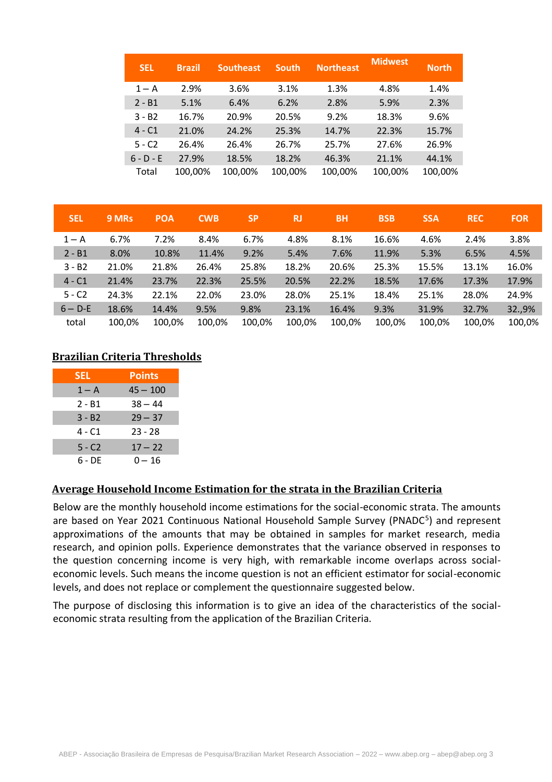| <b>SEL</b>  | <b>Brazil</b> | <b>Southeast</b> | <b>South</b> | <b>Northeast</b> | <b>Midwest</b> | <b>North</b> |
|-------------|---------------|------------------|--------------|------------------|----------------|--------------|
| $1 - A$     | 2.9%          | 3.6%             | 3.1%         | 1.3%             | 4.8%           | 1.4%         |
| $2 - B1$    | 5.1%          | 6.4%             | 6.2%         | 2.8%             | 5.9%           | 2.3%         |
| $3 - B2$    | 16.7%         | 20.9%            | 20.5%        | 9.2%             | 18.3%          | 9.6%         |
| $4 - C1$    | 21.0%         | 24.2%            | 25.3%        | 14.7%            | 22.3%          | 15.7%        |
| $5 - C2$    | 26.4%         | 26.4%            | 26.7%        | 25.7%            | 27.6%          | 26.9%        |
| $6 - D - E$ | 27.9%         | 18.5%            | 18.2%        | 46.3%            | 21.1%          | 44.1%        |
| Total       | 100,00%       | 100,00%          | 100,00%      | 100,00%          | 100,00%        | 100,00%      |

| <b>SEL</b> | 9 MRs  | <b>POA</b> | <b>CWB</b> | <b>SP</b> | <b>RJ</b> | <b>BH</b> | <b>BSB</b> | <b>SSA</b> | <b>REC</b> | <b>FOR</b> |
|------------|--------|------------|------------|-----------|-----------|-----------|------------|------------|------------|------------|
| $1 - A$    | 6.7%   | 7.2%       | 8.4%       | 6.7%      | 4.8%      | 8.1%      | 16.6%      | 4.6%       | 2.4%       | 3.8%       |
| $2 - B1$   | 8.0%   | 10.8%      | 11.4%      | 9.2%      | 5.4%      | 7.6%      | 11.9%      | 5.3%       | 6.5%       | 4.5%       |
| $3 - B2$   | 21.0%  | 21.8%      | 26.4%      | 25.8%     | 18.2%     | 20.6%     | 25.3%      | 15.5%      | 13.1%      | 16.0%      |
| $4 - C1$   | 21.4%  | 23.7%      | 22.3%      | 25.5%     | 20.5%     | 22.2%     | 18.5%      | 17.6%      | 17.3%      | 17.9%      |
| $5 - C2$   | 24.3%  | 22.1%      | 22.0%      | 23.0%     | 28.0%     | 25.1%     | 18.4%      | 25.1%      | 28.0%      | 24.9%      |
| $6 - D-E$  | 18.6%  | 14.4%      | 9.5%       | 9.8%      | 23.1%     | 16.4%     | 9.3%       | 31.9%      | 32.7%      | 32.,9%     |
| total      | 100,0% | 100,0%     | 100,0%     | 100,0%    | 100.0%    | 100,0%    | 100,0%     | 100,0%     | 100,0%     | 100,0%     |

## **Brazilian Criteria Thresholds**

| <b>SEL</b> | <b>Points</b> |
|------------|---------------|
| $1 - A$    | $45 - 100$    |
| 2 - B1     | $38 - 44$     |
| 3 - B2     | $29 - 37$     |
| 4 - C1     | $23 - 28$     |
| 5 - C2     | $17 - 22$     |
| 6 - DE     | $0 - 16$      |

## **Average Household Income Estimation for the strata in the Brazilian Criteria**

Below are the monthly household income estimations for the social-economic strata. The amounts are based on Year 2021 Continuous National Household Sample Survey (PNADC<sup>5</sup>) and represent approximations of the amounts that may be obtained in samples for market research, media research, and opinion polls. Experience demonstrates that the variance observed in responses to the question concerning income is very high, with remarkable income overlaps across socialeconomic levels. Such means the income question is not an efficient estimator for social-economic levels, and does not replace or complement the questionnaire suggested below.

The purpose of disclosing this information is to give an idea of the characteristics of the socialeconomic strata resulting from the application of the Brazilian Criteria.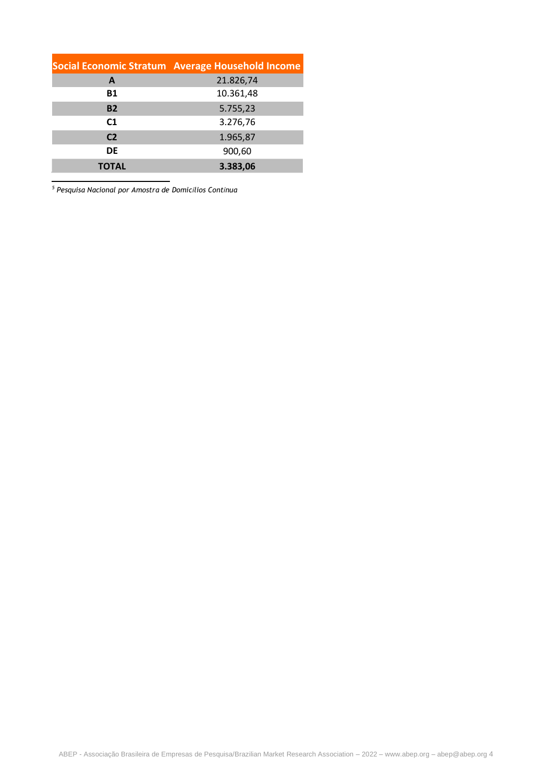|                | Social Economic Stratum Average Household Income |
|----------------|--------------------------------------------------|
| A              | 21.826,74                                        |
| <b>B1</b>      | 10.361,48                                        |
| <b>B2</b>      | 5.755,23                                         |
| C <sub>1</sub> | 3.276,76                                         |
| C <sub>2</sub> | 1.965,87                                         |
| DE             | 900,60                                           |
| <b>TOTAL</b>   | 3.383,06                                         |

*<sup>5</sup> Pesquisa Nacional por Amostra de Domicílios Contínua*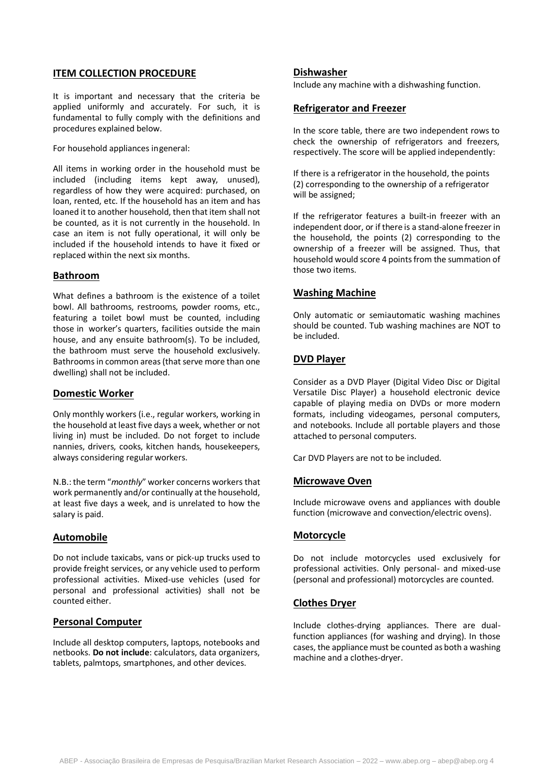### **ITEM COLLECTION PROCEDURE**

It is important and necessary that the criteria be applied uniformly and accurately. For such, it is fundamental to fully comply with the definitions and procedures explained below.

For household appliances ingeneral:

All items in working order in the household must be included (including items kept away, unused), regardless of how they were acquired: purchased, on loan, rented, etc. If the household has an item and has loaned it to another household, then that item shall not be counted, as it is not currently in the household. In case an item is not fully operational, it will only be included if the household intends to have it fixed or replaced within the next six months.

## **Bathroom**

What defines a bathroom is the existence of a toilet bowl. All bathrooms, restrooms, powder rooms, etc., featuring a toilet bowl must be counted, including those in worker's quarters, facilities outside the main house, and any ensuite bathroom(s). To be included, the bathroom must serve the household exclusively. Bathrooms in common areas (that serve more than one dwelling) shall not be included.

#### **Domestic Worker**

Only monthly workers (i.e., regular workers, working in the household at least five days a week, whether or not living in) must be included. Do not forget to include nannies, drivers, cooks, kitchen hands, housekeepers, always considering regular workers.

N.B.: the term "*monthly*" worker concerns workers that work permanently and/or continually at the household, at least five days a week, and is unrelated to how the salary is paid.

## **Automobile**

Do not include taxicabs, vans or pick-up trucks used to provide freight services, or any vehicle used to perform professional activities. Mixed-use vehicles (used for personal and professional activities) shall not be counted either.

## **Personal Computer**

Include all desktop computers, laptops, notebooks and netbooks. **Do not include**: calculators, data organizers, tablets, palmtops, smartphones, and other devices.

#### **Dishwasher**

Include any machine with a dishwashing function.

## **Refrigerator and Freezer**

In the score table, there are two independent rows to check the ownership of refrigerators and freezers, respectively. The score will be applied independently:

If there is a refrigerator in the household, the points (2) corresponding to the ownership of a refrigerator will be assigned;

If the refrigerator features a built-in freezer with an independent door, or if there is a stand-alone freezer in the household, the points (2) corresponding to the ownership of a freezer will be assigned. Thus, that household would score 4 points from the summation of those two items.

## **Washing Machine**

Only automatic or semiautomatic washing machines should be counted. Tub washing machines are NOT to be included.

## **DVD Player**

Consider as a DVD Player (Digital Video Disc or Digital Versatile Disc Player) a household electronic device capable of playing media on DVDs or more modern formats, including videogames, personal computers, and notebooks. Include all portable players and those attached to personal computers.

Car DVD Players are not to be included.

## **Microwave Oven**

Include microwave ovens and appliances with double function (microwave and convection/electric ovens).

## **Motorcycle**

Do not include motorcycles used exclusively for professional activities. Only personal- and mixed-use (personal and professional) motorcycles are counted.

#### **Clothes Dryer**

Include clothes-drying appliances. There are dualfunction appliances (for washing and drying). In those cases, the appliance must be counted as both a washing machine and a clothes-dryer.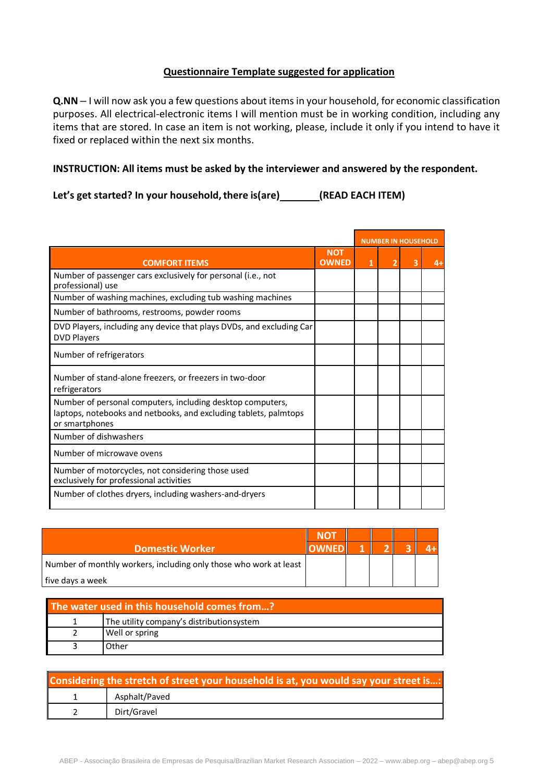## **Questionnaire Template suggested for application**

**Q.NN** – I will now ask you a few questions about items in your household, for economic classification purposes. All electrical-electronic items I will mention must be in working condition, including any items that are stored. In case an item is not working, please, include it only if you intend to have it fixed or replaced within the next six months.

## **INSTRUCTION: All items must be asked by the interviewer and answered by the respondent.**

**Let's get started? In your household,there is(are) (READ EACH ITEM)**

|                                                                                                                                                  |                            | <b>NUMBER IN HOUSEHOLD</b> |   |      |
|--------------------------------------------------------------------------------------------------------------------------------------------------|----------------------------|----------------------------|---|------|
| <b>COMFORT ITEMS</b>                                                                                                                             | <b>NOT</b><br><b>OWNED</b> |                            | 3 | $4+$ |
| Number of passenger cars exclusively for personal (i.e., not<br>professional) use                                                                |                            |                            |   |      |
| Number of washing machines, excluding tub washing machines                                                                                       |                            |                            |   |      |
| Number of bathrooms, restrooms, powder rooms                                                                                                     |                            |                            |   |      |
| DVD Players, including any device that plays DVDs, and excluding Car<br><b>DVD Players</b>                                                       |                            |                            |   |      |
| Number of refrigerators                                                                                                                          |                            |                            |   |      |
| Number of stand-alone freezers, or freezers in two-door<br>refrigerators                                                                         |                            |                            |   |      |
| Number of personal computers, including desktop computers,<br>laptops, notebooks and netbooks, and excluding tablets, palmtops<br>or smartphones |                            |                            |   |      |
| Number of dishwashers                                                                                                                            |                            |                            |   |      |
| Number of microwave ovens                                                                                                                        |                            |                            |   |      |
| Number of motorcycles, not considering those used<br>exclusively for professional activities                                                     |                            |                            |   |      |
| Number of clothes dryers, including washers-and-dryers                                                                                           |                            |                            |   |      |

| <b>Domestic Worker</b>                                            |  |  |  |
|-------------------------------------------------------------------|--|--|--|
| Number of monthly workers, including only those who work at least |  |  |  |
| five days a week                                                  |  |  |  |

| The water used in this household comes from? |                                          |  |  |  |  |
|----------------------------------------------|------------------------------------------|--|--|--|--|
|                                              | The utility company's distributionsystem |  |  |  |  |
|                                              | Well or spring                           |  |  |  |  |
|                                              | ጋther                                    |  |  |  |  |

| Considering the stretch of street your household is at, you would say your street is: |               |  |  |  |  |  |
|---------------------------------------------------------------------------------------|---------------|--|--|--|--|--|
|                                                                                       | Asphalt/Paved |  |  |  |  |  |
|                                                                                       | Dirt/Gravel   |  |  |  |  |  |